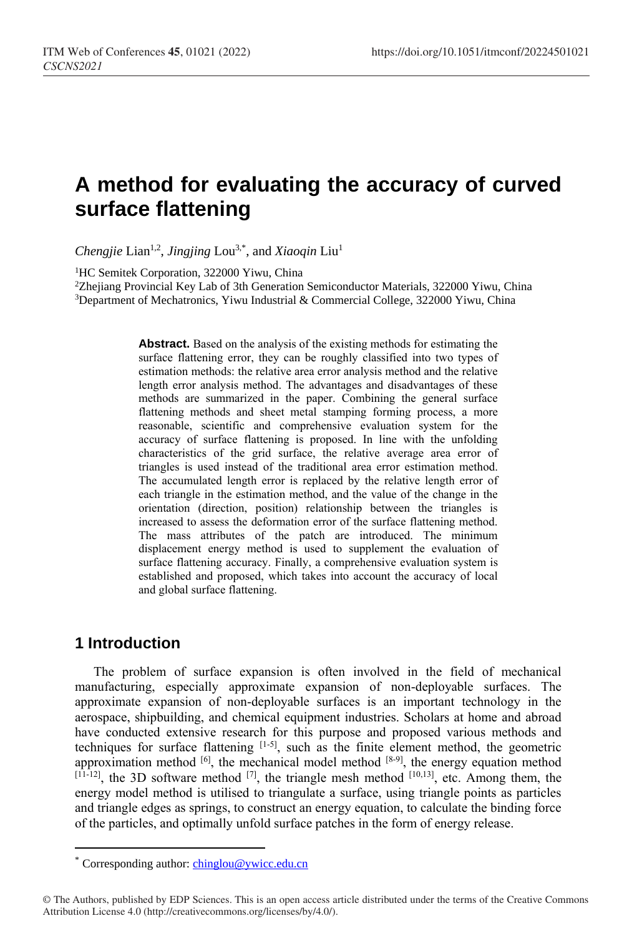# **A method for evaluating the accuracy of curved surface flattening**

Chengjie Lian<sup>1,2</sup>, *Jingjing* Lou<sup>3,\*</sup>, and *Xiaoqin* Liu<sup>1</sup>

<sup>1</sup>HC Semitek Corporation, 322000 Yiwu, China

<sup>2</sup>Zhejiang Provincial Key Lab of 3th Generation Semiconductor Materials, 322000 Yiwu, China <sup>3</sup>Department of Mechatronics, Yiwu Industrial & Commercial College, 322000 Yiwu, China

> **Abstract.** Based on the analysis of the existing methods for estimating the surface flattening error, they can be roughly classified into two types of estimation methods: the relative area error analysis method and the relative length error analysis method. The advantages and disadvantages of these methods are summarized in the paper. Combining the general surface flattening methods and sheet metal stamping forming process, a more reasonable, scientific and comprehensive evaluation system for the accuracy of surface flattening is proposed. In line with the unfolding characteristics of the grid surface, the relative average area error of triangles is used instead of the traditional area error estimation method. The accumulated length error is replaced by the relative length error of each triangle in the estimation method, and the value of the change in the orientation (direction, position) relationship between the triangles is increased to assess the deformation error of the surface flattening method. The mass attributes of the patch are introduced. The minimum displacement energy method is used to supplement the evaluation of surface flattening accuracy. Finally, a comprehensive evaluation system is established and proposed, which takes into account the accuracy of local and global surface flattening.

## **1 Introduction**

 $\overline{a}$ 

The problem of surface expansion is often involved in the field of mechanical manufacturing, especially approximate expansion of non-deployable surfaces. The approximate expansion of non-deployable surfaces is an important technology in the aerospace, shipbuilding, and chemical equipment industries. Scholars at home and abroad have conducted extensive research for this purpose and proposed various methods and techniques for surface flattening [1-5], such as the finite element method, the geometric approximation method  $[6]$ , the mechanical model method  $[8-9]$ , the energy equation method  $[11-12]$ , the 3D software method  $[7]$ , the triangle mesh method  $[10,13]$ , etc. Among them, the energy model method is utilised to triangulate a surface, using triangle points as particles and triangle edges as springs, to construct an energy equation, to calculate the binding force of the particles, and optimally unfold surface patches in the form of energy release.

<sup>\*</sup> Corresponding author: chinglou@ywicc.edu.cn

<sup>©</sup> The Authors, published by EDP Sciences. This is an open access article distributed under the terms of the Creative Commons Attribution License 4.0 (http://creativecommons.org/licenses/by/4.0/).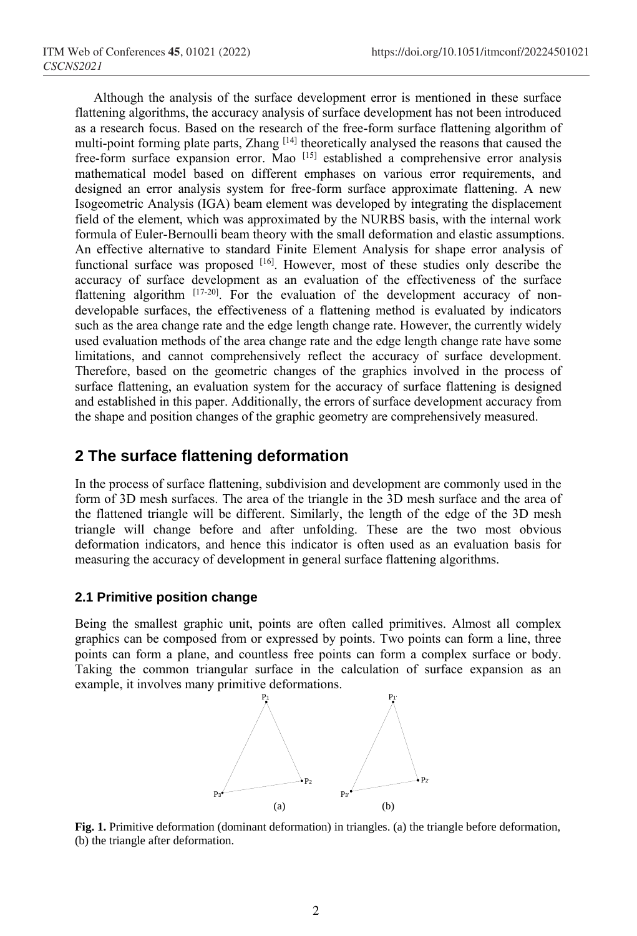Although the analysis of the surface development error is mentioned in these surface flattening algorithms, the accuracy analysis of surface development has not been introduced as a research focus. Based on the research of the free-form surface flattening algorithm of multi-point forming plate parts, Zhang [14] theoretically analysed the reasons that caused the free-form surface expansion error. Mao <sup>[15]</sup> established a comprehensive error analysis mathematical model based on different emphases on various error requirements, and designed an error analysis system for free-form surface approximate flattening. A new Isogeometric Analysis (IGA) beam element was developed by integrating the displacement field of the element, which was approximated by the NURBS basis, with the internal work formula of Euler-Bernoulli beam theory with the small deformation and elastic assumptions. An effective alternative to standard Finite Element Analysis for shape error analysis of functional surface was proposed [16]. However, most of these studies only describe the accuracy of surface development as an evaluation of the effectiveness of the surface flattening algorithm [17-20]. For the evaluation of the development accuracy of nondevelopable surfaces, the effectiveness of a flattening method is evaluated by indicators such as the area change rate and the edge length change rate. However, the currently widely used evaluation methods of the area change rate and the edge length change rate have some limitations, and cannot comprehensively reflect the accuracy of surface development. Therefore, based on the geometric changes of the graphics involved in the process of surface flattening, an evaluation system for the accuracy of surface flattening is designed and established in this paper. Additionally, the errors of surface development accuracy from the shape and position changes of the graphic geometry are comprehensively measured.

## **2 The surface flattening deformation**

In the process of surface flattening, subdivision and development are commonly used in the form of 3D mesh surfaces. The area of the triangle in the 3D mesh surface and the area of the flattened triangle will be different. Similarly, the length of the edge of the 3D mesh triangle will change before and after unfolding. These are the two most obvious deformation indicators, and hence this indicator is often used as an evaluation basis for measuring the accuracy of development in general surface flattening algorithms.

### **2.1 Primitive position change**

Being the smallest graphic unit, points are often called primitives. Almost all complex graphics can be composed from or expressed by points. Two points can form a line, three points can form a plane, and countless free points can form a complex surface or body. Taking the common triangular surface in the calculation of surface expansion as an example, it involves many primitive deformations.



**Fig. 1.** Primitive deformation (dominant deformation) in triangles. (a) the triangle before deformation, (b) the triangle after deformation.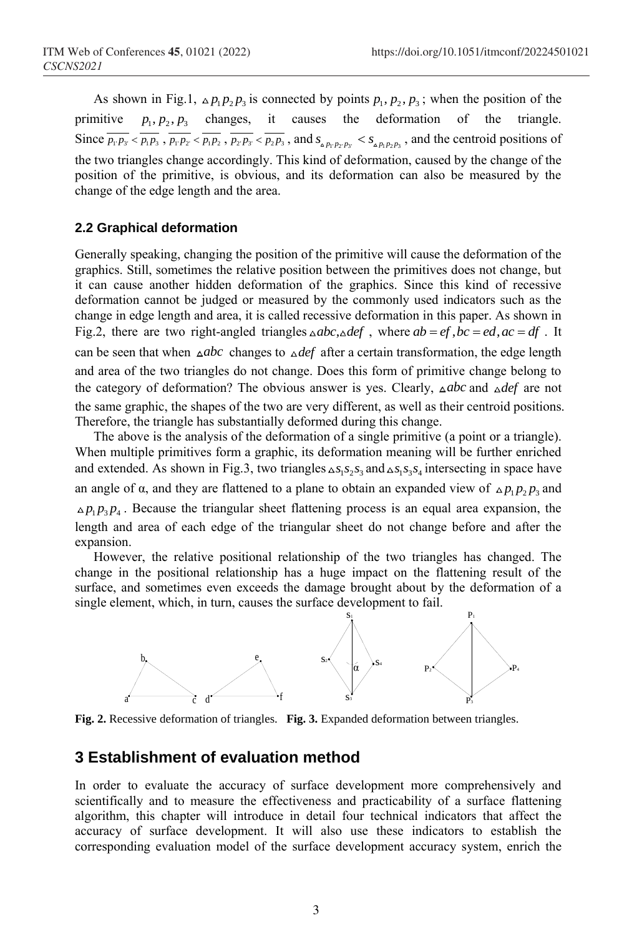As shown in Fig.1,  $\Delta p_1 p_2 p_3$  is connected by points  $p_1, p_2, p_3$ ; when the position of the primitive  $p_1, p_2, p_3$  changes, it causes the deformation of the triangle. Since  $\overline{p_1 \cdot p_3}$   $\langle \overline{p_1 \cdot p_2} \cdot \overline{p_1 \cdot p_2} \cdot \overline{p_2 \cdot p_3} \cdot \overline{p_2 \cdot p_3} \cdot \overline{p_2 \cdot p_3}$ , and  $s_{\Delta p_1 \cdot p_2 \cdot p_3}$   $\langle s_{\Delta p_1 \cdot p_2 \cdot p_3} \rangle$ , and the centroid positions of the two triangles change accordingly. This kind of deformation, caused by the change of the position of the primitive, is obvious, and its deformation can also be measured by the change of the edge length and the area.

### **2.2 Graphical deformation**

Generally speaking, changing the position of the primitive will cause the deformation of the graphics. Still, sometimes the relative position between the primitives does not change, but it can cause another hidden deformation of the graphics. Since this kind of recessive deformation cannot be judged or measured by the commonly used indicators such as the change in edge length and area, it is called recessive deformation in this paper. As shown in Fig.2, there are two right-angled triangles  $\triangle abc, \triangle def$ , where  $ab = ef$ ,  $bc = ed$ ,  $ac = df$ . It can be seen that when *abc* changes to *def* after a certain [transformation,](https://www.collinsdictionary.com/zh/dictionary/english-thesaurus/transformation) the edge length and area of the two triangles do not change. Does this form of primitive change belong to the category of deformation? The obvious answer is yes. Clearly, *abc* and *def* are not the same graphic, the shapes of the two are very different, as well as their centroid positions. Therefore, the triangle has substantially deformed during this change.

The above is the analysis of the deformation of a single primitive (a point or a triangle). When multiple primitives form a graphic, its deformation meaning will be further enriched and extended. As shown in Fig.3, two triangles  $\Delta s_1 s_2 s_3$  and  $\Delta s_1 s_3 s_4$  intersecting in space have an angle of  $\alpha$ , and they are flattened to a plane to obtain an expanded view of  $\Delta p_1 p_2 p_3$  and  $p_1 p_3 p_4$ . Because the triangular sheet flattening process is an equal area expansion, the length and area of each edge of the triangular sheet do not change before and after the expansion.

However, the relative positional relationship of the two triangles has changed. The change in the positional relationship has a huge impact on the flattening result of the surface, and sometimes even exceeds the damage brought about by the deformation of a single element, which, in turn, causes the surface development to fail.



**Fig. 2.** Recessive deformation of triangles. **Fig. 3.** Expanded deformation between triangles.

## **3 Establishment of evaluation method**

In order to evaluate the accuracy of surface development more comprehensively and scientifically and to measure the effectiveness and practicability of a surface flattening algorithm, this chapter will introduce in detail four technical indicators that affect the accuracy of surface development. It will also use these indicators to establish the corresponding evaluation model of the surface development accuracy system, enrich the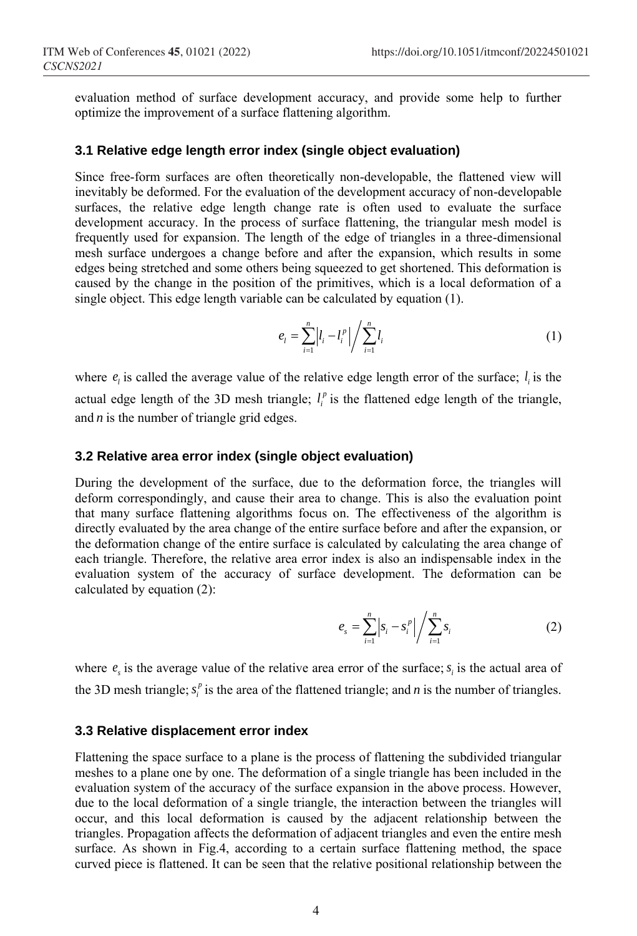evaluation method of surface development accuracy, and provide some help to further optimize the improvement of a surface flattening algorithm.

#### **3.1 Relative edge length error index (single object evaluation)**

Since free-form surfaces are often theoretically non-developable, the flattened view will inevitably be deformed. For the evaluation of the development accuracy of non-developable surfaces, the relative edge length change rate is often used to evaluate the surface development accuracy. In the process of surface flattening, the triangular mesh model is frequently used for expansion. The length of the edge of triangles in a three-dimensional mesh surface undergoes a change before and after the expansion, which results in some edges being stretched and some others being squeezed to get shortened. This deformation is caused by the change in the position of the primitives, which is a local deformation of a single object. This edge length variable can be calculated by equation (1).

$$
e_{l} = \sum_{i=1}^{n} \left| l_{i} - l_{i}^{p} \right| \bigg/ \sum_{i=1}^{n} l_{i}
$$
 (1)

where  $e_i$  is called the average value of the relative edge length error of the surface;  $l_i$  is the actual edge length of the 3D mesh triangle;  $l_i^p$  is the flattened edge length of the triangle, and *n* is the number of triangle grid edges.

### **3.2 Relative area error index (single object evaluation)**

During the development of the surface, due to the deformation force, the triangles will deform correspondingly, and cause their area to change. This is also the evaluation point that many surface flattening algorithms focus on. The effectiveness of the algorithm is directly evaluated by the area change of the entire surface before and after the expansion, or the deformation change of the entire surface is calculated by calculating the area change of each triangle. Therefore, the relative area error index is also an indispensable index in the evaluation system of the accuracy of surface development. The deformation can be calculated by equation (2):

$$
e_s = \sum_{i=1}^{n} \left| s_i - s_i^p \right| \bigg/ \sum_{i=1}^{n} s_i \tag{2}
$$

where  $e_s$  is the average value of the relative area error of the surface;  $s_i$  is the actual area of the 3D mesh triangle;  $s_i^p$  is the area of the flattened triangle; and *n* is the number of triangles.

#### **3.3 Relative displacement error index**

Flattening the space surface to a plane is the process of flattening the subdivided triangular meshes to a plane one by one. The deformation of a single triangle has been included in the evaluation system of the accuracy of the surface expansion in the above process. However, due to the local deformation of a single triangle, the interaction between the triangles will occur, and this local deformation is caused by the adjacent relationship between the triangles. Propagation affects the deformation of adjacent triangles and even the entire mesh surface. As shown in Fig.4, according to a certain surface flattening method, the space curved piece is flattened. It can be seen that the relative positional relationship between the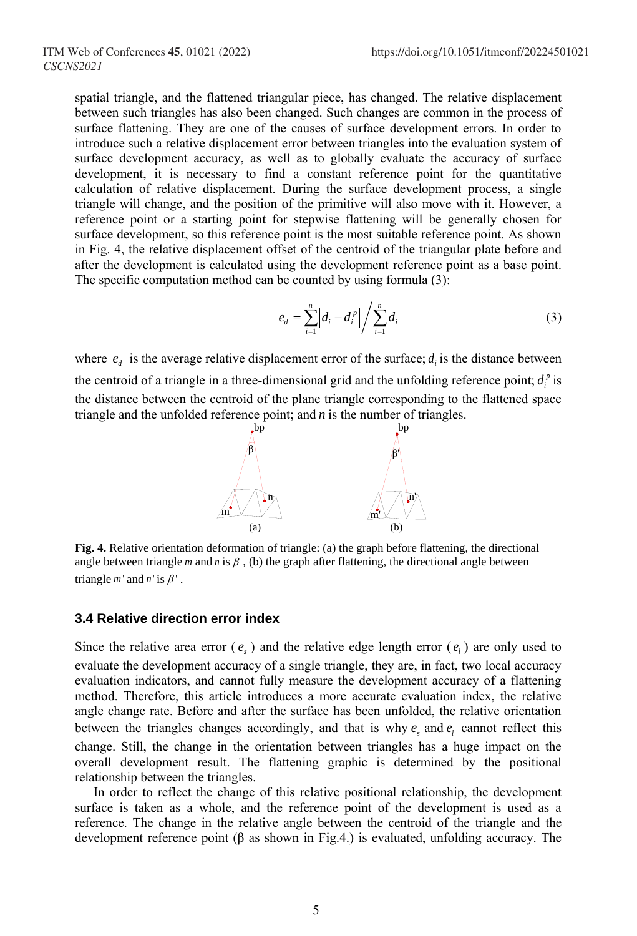spatial triangle, and the flattened triangular piece, has changed. The relative displacement between such triangles has also been changed. Such changes are common in the process of surface flattening. They are one of the causes of surface development errors. In order to introduce such a relative displacement error between triangles into the evaluation system of surface development accuracy, as well as to globally evaluate the accuracy of surface development, it is necessary to find a constant reference point for the quantitative calculation of relative displacement. During the surface development process, a single triangle will change, and the position of the primitive will also move with it. However, a reference point or a starting point for stepwise flattening will be generally chosen for surface development, so this reference point is the most suitable reference point. As shown in Fig. 4, the relative displacement offset of the centroid of the triangular plate before and after the development is calculated using the development reference point as a base point. The specific computation method can be counted by using formula (3):

$$
e_d = \sum_{i=1}^{n} \left| d_i - d_i^p \right| \bigg/ \sum_{i=1}^{n} d_i \tag{3}
$$

where  $e_d$  is the average relative displacement error of the surface;  $d_i$  is the distance between the centroid of a triangle in a three-dimensional grid and the unfolding reference point;  $d_i^p$  is the distance between the centroid of the plane triangle corresponding to the flattened space triangle and the unfolded reference point; and *n* is the number of triangles.



**Fig. 4.** Relative orientation deformation of triangle: (a) the graph before flattening, the directional angle between triangle  $m$  and  $n$  is  $\beta$ , (b) the graph after flattening, the directional angle between triangle  $m'$  and  $n'$  is  $\beta'$ .

#### **3.4 Relative direction error index**

Since the relative area error  $(e_s)$  and the relative edge length error  $(e_l)$  are only used to evaluate the development accuracy of a single triangle, they are, in fact, two local accuracy evaluation indicators, and cannot fully measure the development accuracy of a flattening method. Therefore, this article introduces a more accurate evaluation index, the relative angle change rate. Before and after the surface has been unfolded, the relative orientation between the triangles changes accordingly, and that is why  $e_s$  and  $e_l$  cannot reflect this change. Still, the change in the orientation between triangles has a huge impact on the overall development result. The flattening graphic is determined by the positional relationship between the triangles.

In order to reflect the change of this relative positional relationship, the development surface is taken as a whole, and the reference point of the development is used as a reference. The change in the relative angle between the centroid of the triangle and the development reference point (β as shown in Fig.4.) is evaluated, unfolding accuracy. The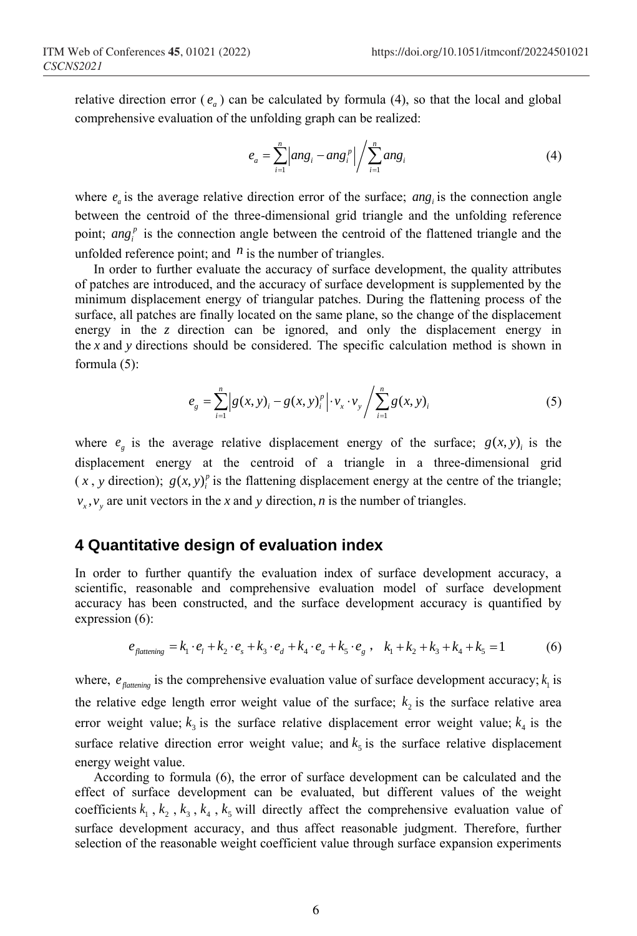relative direction error  $(e_a)$  can be calculated by formula (4), so that the local and global comprehensive evaluation of the unfolding graph can be realized:

$$
e_{a} = \sum_{i=1}^{n} \left| \arg_{i} - \arg_{i}^{p} \right| \bigg/ \sum_{i=1}^{n} \arg_{i} \tag{4}
$$

where  $e_a$  is the average relative direction error of the surface; ang<sub>i</sub> is the connection angle between the centroid of the three-dimensional grid triangle and the unfolding reference point;  $ang_i^p$  is the connection angle between the centroid of the flattened triangle and the unfolded reference point; and  $<sup>n</sup>$  is the number of triangles.</sup>

In order to further evaluate the accuracy of surface development, the quality attributes of patches are introduced, and the accuracy of surface development is supplemented by the minimum displacement energy of triangular patches. During the flattening process of the surface, all patches are finally located on the same plane, so the change of the displacement energy in the *z* direction can be ignored, and only the displacement energy in the x and y directions should be considered. The specific calculation method is shown in formula (5):

$$
e_{g} = \sum_{i=1}^{n} \Big| g(x, y)_{i} - g(x, y)_{i}^{p} \Big| \cdot v_{x} \cdot v_{y} \Big| \sum_{i=1}^{n} g(x, y)_{i} \tag{5}
$$

where  $e_g$  is the average relative displacement energy of the surface;  $g(x, y)_i$  is the displacement energy at the centroid of a triangle in a three-dimensional grid  $(x, y)$  direction);  $g(x, y)$ <sup>*p*</sup> is the flattening displacement energy at the centre of the triangle;  $v_x$ ,  $v_y$  are unit vectors in the *x* and *y* direction, *n* is the number of triangles.

## **4 Quantitative design of evaluation index**

In order to further quantify the evaluation index of surface development accuracy, a scientific, reasonable and comprehensive evaluation model of surface development accuracy has been constructed, and the surface development accuracy is quantified by expression (6):

$$
e_{\text{flattening}} = k_1 \cdot e_1 + k_2 \cdot e_s + k_3 \cdot e_d + k_4 \cdot e_a + k_5 \cdot e_g, \quad k_1 + k_2 + k_3 + k_4 + k_5 = 1 \tag{6}
$$

where,  $e_{\text{flattening}}$  is the comprehensive evaluation value of surface development accuracy;  $k_1$  is the relative edge length error weight value of the surface;  $k_2$  is the surface relative area error weight value;  $k_3$  is the surface relative displacement error weight value;  $k_4$  is the surface relative direction error weight value; and  $k<sub>5</sub>$  is the surface relative displacement energy weight value.

According to formula (6), the error of surface development can be calculated and the effect of surface development can be evaluated, but different values of the weight coefficients  $k_1$ ,  $k_2$ ,  $k_3$ ,  $k_4$ ,  $k_5$  will directly affect the comprehensive evaluation value of surface development accuracy, and thus affect reasonable judgment. Therefore, further selection of the reasonable weight coefficient value through surface expansion experiments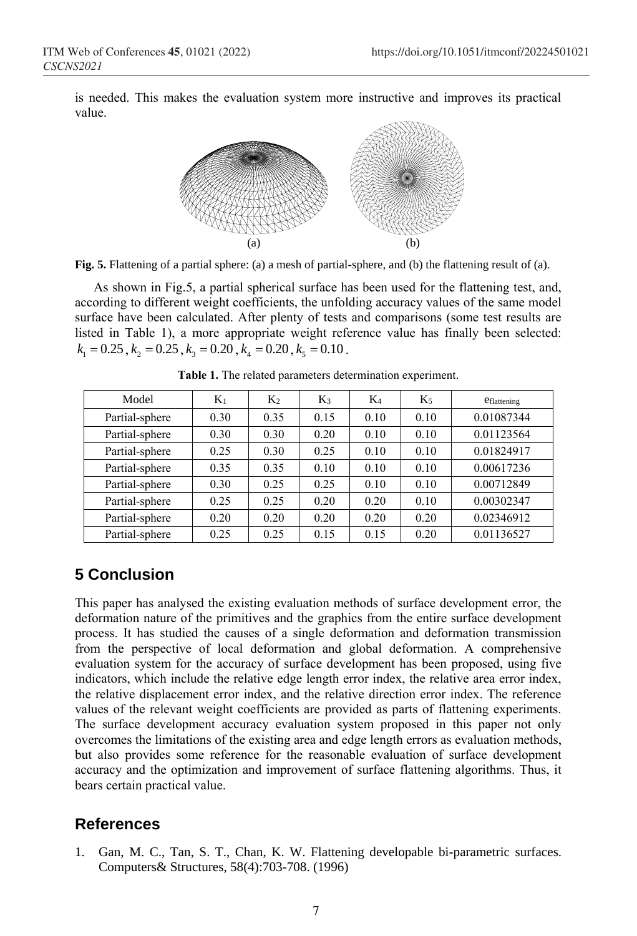is needed. This makes the evaluation system more instructive and improves its practical value.



**Fig. 5.** Flattening of a partial sphere: (a) a mesh of partial-sphere, and (b) the flattening result of (a).

As shown in Fig.5, a partial spherical surface has been used for the flattening test, and, according to different weight coefficients, the unfolding accuracy values of the same model surface have been calculated. After plenty of tests and comparisons (some test results are listed in Table 1), a more appropriate weight reference value has finally been selected:  $k_1 = 0.25$ ,  $k_2 = 0.25$ ,  $k_3 = 0.20$ ,  $k_4 = 0.20$ ,  $k_5 = 0.10$ .

| Model          | $K_1$ | K <sub>2</sub> | Kз   | $K_4$ | K5   | <b>C</b> flattening |
|----------------|-------|----------------|------|-------|------|---------------------|
| Partial-sphere | 0.30  | 0.35           | 0.15 | 0.10  | 0.10 | 0.01087344          |
| Partial-sphere | 0.30  | 0.30           | 0.20 | 0.10  | 0.10 | 0.01123564          |
| Partial-sphere | 0.25  | 0.30           | 0.25 | 0.10  | 0.10 | 0.01824917          |
| Partial-sphere | 0.35  | 0.35           | 0.10 | 0.10  | 0.10 | 0.00617236          |
| Partial-sphere | 0.30  | 0.25           | 0.25 | 0.10  | 0.10 | 0.00712849          |
| Partial-sphere | 0.25  | 0.25           | 0.20 | 0.20  | 0.10 | 0.00302347          |
| Partial-sphere | 0.20  | 0.20           | 0.20 | 0.20  | 0.20 | 0.02346912          |
| Partial-sphere | 0.25  | 0.25           | 0.15 | 0.15  | 0.20 | 0.01136527          |

**Table 1.** The related parameters determination experiment.

## **5 Conclusion**

This paper has analysed the existing evaluation methods of surface development error, the deformation nature of the primitives and the graphics from the entire surface development process. It has studied the causes of a single deformation and deformation transmission from the perspective of local deformation and global deformation. A comprehensive evaluation system for the accuracy of surface development has been proposed, using five indicators, which include the relative edge length error index, the relative area error index, the relative displacement error index, and the relative direction error index. The reference values of the relevant weight coefficients are provided as parts of flattening experiments. The surface development accuracy evaluation system proposed in this paper not only overcomes the limitations of the existing area and edge length errors as evaluation methods, but also provides some reference for the reasonable evaluation of surface development accuracy and the optimization and improvement of surface flattening algorithms. Thus, it bears certain practical value.

## **References**

1. Gan, M. C., Tan, S. T., Chan, K. W. Flattening developable bi-parametric surfaces. Computers& Structures, 58(4):703-708. (1996)